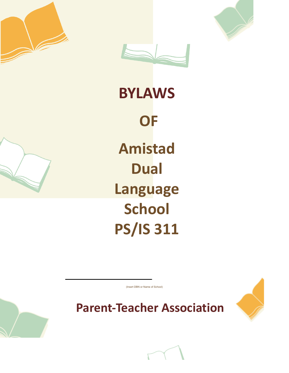



# **BYLAWS OF Amistad Dual Language School PS/IS 311**

(Insert DBN or Name of School)

**Parent-Teacher Association**





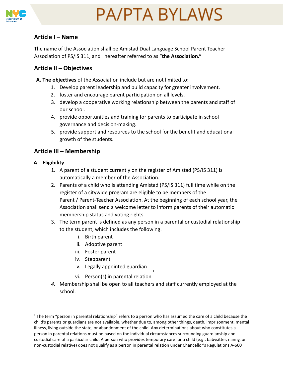

### **Article I – Name**

The name of the Association shall be Amistad Dual Language School Parent Teacher Association of PS/IS 311, and hereafter referred to as "**the Association."**

### **Article II – Objectives**

**A. The objectives** of the Association include but are not limited to**:**

- 1. Develop parent leadership and build capacity for greater involvement.
- 2. foster and encourage parent participation on all levels.
- 3. develop a cooperative working relationship between the parents and staff of our school.
- 4. provide opportunities and training for parents to participate in school governance and decision-making.
- 5. provide support and resources to the school for the benefit and educational growth of the students.

### **Article III – Membership**

- **A. Eligibility**
	- 1. A parent of a student currently on the register of Amistad (PS/IS 311) is automatically a member of the Association.
	- 2. Parents of a child who is attending Amistad (PS/IS 311) full time while on the register of a citywide program are eligible to be members of the Parent / Parent-Teacher Association. At the beginning of each school year, the Association shall send a welcome letter to inform parents of their automatic membership status and voting rights.
	- 3. The term parent is defined as any person in a parental or custodial relationship to the student, which includes the following.
		- i. Birth parent
		- ii. Adoptive parent
		- iii. Foster parent
		- iv. Stepparent
		- v. Legally appointed guardian
		- 1 vi. Person(s) in parental relation
	- *4.* Membership shall be open to all teachers and staff currently employed at the school.

<sup>&</sup>lt;sup>1</sup> The term "person in parental relationship" refers to a person who has assumed the care of a child because the child's parents or guardians are not available, whether due to, among other things, death, imprisonment, mental illness, living outside the state, or abandonment of the child. Any determinations about who constitutes a person in parental relations must be based on the individual circumstances surrounding guardianship and custodial care of a particular child. A person who provides temporary care for a child (e.g., babysitter, nanny, or non-custodial relative) does not qualify as a person in parental relation under Chancellor's Regulations A-660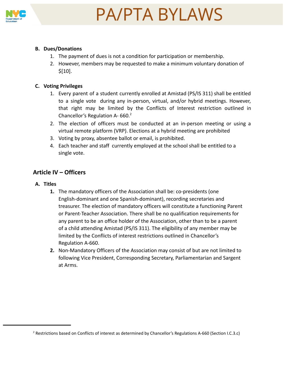

#### **B. Dues/Donations**

- 1. The payment of dues is not a condition for participation or membership.
- 2. However, members may be requested to make a minimum voluntary donation of \$[10].

#### **C. Voting Privileges**

- 1. Every parent of a student currently enrolled at Amistad (PS/IS 311) shall be entitled to a single vote during any in-person, virtual, and/or hybrid meetings. However, that right may be limited by the Conflicts of Interest restriction outlined in Chancellor's Regulation A- $660.<sup>2</sup>$
- 2. The election of officers must be conducted at an in-person meeting or using a virtual remote platform (VRP). Elections at a hybrid meeting are prohibited
- 3. Voting by proxy, absentee ballot or email, is prohibited.
- 4. Each teacher and staff currently employed at the school shall be entitled to a single vote.

### **Article IV – Officers**

#### **A. Titles**

- **1.** The mandatory officers of the Association shall be: co-presidents (one English-dominant and one Spanish-dominant), recording secretaries and treasurer. The election of mandatory officers will constitute a functioning Parent or Parent-Teacher Association. There shall be no qualification requirements for any parent to be an office holder of the Association, other than to be a parent of a child attending Amistad (PS/IS 311). The eligibility of any member may be limited by the Conflicts of interest restrictions outlined in Chancellor's Regulation A-660.
- **2.** Non-Mandatory Officers of the Association may consist of but are not limited to following Vice President, Corresponding Secretary, Parliamentarian and Sargent at Arms.

<sup>2</sup> Restrictions based on Conflicts of interest as determined by Chancellor's Regulations A-660 (Section I.C.3.c)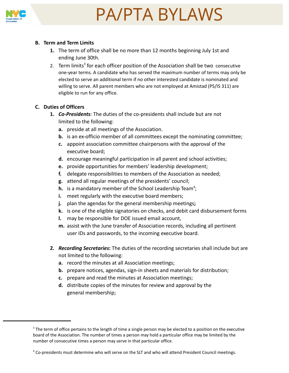

#### **B. Term and Term Limits**

- **1.** The term of office shall be no more than 12 months beginning July 1st and ending June 30th.
- 2. Term limits<sup>3</sup> for each officer position of the Association shall be two consecutive one-year terms. A candidate who has served the maximum number of terms may only be elected to serve an additional term if no other interested candidate is nominated and willing to serve. All parent members who are not employed at Amistad (PS/IS 311) are eligible to run for any office.

#### **C. Duties of Officers**

- **1.** *Co-Presidents:* The duties of the co-presidents shall include but are not limited to the following:
	- **a.** preside at all meetings of the Association.
	- **b.** is an ex-officio member of all committees except the nominating committee;
	- **c.** appoint association committee chairpersons with the approval of the executive board;
	- **d.** encourage meaningful participation in all parent and school activities;
	- **e.** provide opportunities for members' leadership development;
	- **f.** delegate responsibilities to members of the Association as needed;
	- **g.** attend all regular meetings of the presidents' council;
	- **h.** is a mandatory member of the School Leadership Team<sup>4</sup>;
	- **i.** meet regularly with the executive board members;
	- **j.** plan the agendas for the general membership meetings**;**
	- **k.** is one of the eligible signatories on checks, and debit card disbursement forms
	- **l.** may be responsible for DOE issued email account,
	- **m.** assist with the June transfer of Association records, including all pertinent user IDs and passwords, to the incoming executive board.
- **2.** *Recording Secretaries***:** The duties of the recording secretaries shall include but are not limited to the following:
	- **a.** record the minutes at all Association meetings;
	- **b.** prepare notices, agendas, sign-in sheets and materials for distribution;
	- **c.** prepare and read the minutes at Association meetings;
	- **d.** distribute copies of the minutes for review and approval by the general membership;

<sup>&</sup>lt;sup>3</sup> The term of office pertains to the length of time a single person may be elected to a position on the executive board of the Association. The number of times a person may hold a particular office may be limited by the number of consecutive times a person may serve in that particular office.

<sup>4</sup> Co-presidents must determine who will serve on the SLT and who will attend President Council meetings.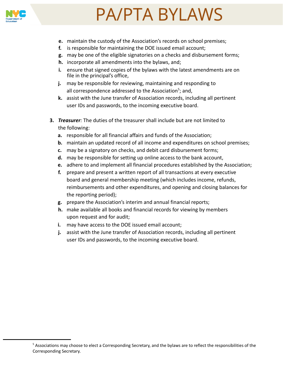

- **e.** maintain the custody of the Association's records on school premises;
- **f.** is responsible for maintaining the DOE issued email account;
- **g.** may be one of the eligible signatories on a checks and disbursement forms;
- **h.** incorporate all amendments into the bylaws, and;
- **i.** ensure that signed copies of the bylaws with the latest amendments are on file in the principal's office,
- **j.** may be responsible for reviewing, maintaining and responding to all correspondence addressed to the Association<sup>5</sup>; and,
- **k.** assist with the June transfer of Association records, including all pertinent user IDs and passwords, to the incoming executive board.
- **3.** *Treasurer:* The duties of the treasurer shall include but are not limited to the following:
	- **a.** responsible for all financial affairs and funds of the Association;
	- **b.** maintain an updated record of all income and expenditures on school premises;
	- **c.** may be a signatory on checks, and debit card disbursement forms;
	- **d.** may be responsible for setting up online access to the bank account,
	- **e.** adhere to and implement all financial procedures established by the Association;
	- **f.** prepare and present a written report of all transactions at every executive board and general membership meeting (which includes income, refunds, reimbursements and other expenditures, and opening and closing balances for the reporting period);
	- **g.** prepare the Association's interim and annual financial reports;
	- **h.** make available all books and financial records for viewing by members upon request and for audit;
	- **i.** may have access to the DOE issued email account;
	- **j.** assist with the June transfer of Association records, including all pertinent user IDs and passwords, to the incoming executive board.

 $5$  Associations may choose to elect a Corresponding Secretary, and the bylaws are to reflect the responsibilities of the Corresponding Secretary.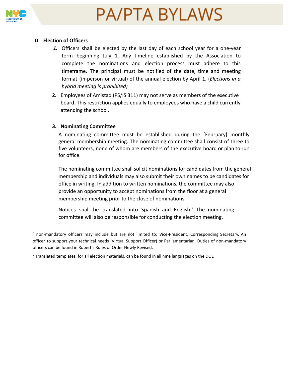



#### **D. Election of Officers**

- *1.* Officers shall be elected by the last day of each school year for a one-year term beginning July 1. Any timeline established by the Association to complete the nominations and election process must adhere to this timeframe. The principal must be notified of the date, time and meeting format (in-person or virtual) of the annual election by April 1. (*Elections in a hybrid meeting is prohibited)*
- **2.** Employees of Amistad (PS/IS 311) may not serve as members of the executive board. This restriction applies equally to employees who have a child currently attending the school.

#### **3. Nominating Committee**

A nominating committee must be established during the [February] monthly general membership meeting. The nominating committee shall consist of three to five volunteers, none of whom are members of the executive board or plan to run for office.

The nominating committee shall solicit nominations for candidates from the general membership and individuals may also submit their own names to be candidates for office in writing. In addition to written nominations, the committee may also provide an opportunity to accept nominations from the floor at a general membership meeting prior to the close of nominations.

Notices shall be translated into Spanish and English.<sup>7</sup> The nominating committee will also be responsible for conducting the election meeting.

 $6$  non-mandatory officers may include but are not limited to; Vice-President, Corresponding Secretary, An officer to support your technical needs (Virtual Support Officer) or Parliamentarian. Duties of non-mandatory officers can be found in Robert's Rules of Order Newly Revised.

 $<sup>7</sup>$  Translated templates, for all election materials, can be found in all nine languages on the DOE</sup>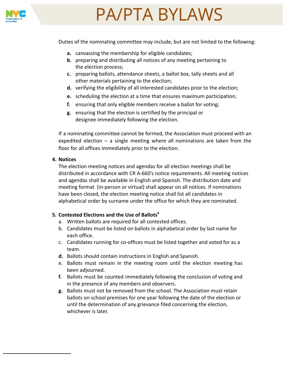

Duties of the nominating committee may include, but are not limited to the following:

- **a.** canvassing the membership for eligible candidates;
- **b.** preparing and distributing all notices of any meeting pertaining to the election process;
- **c.** preparing ballots, attendance sheets, a ballot box, tally sheets and all other materials pertaining to the election;
- **d.** verifying the eligibility of all interested candidates prior to the election;
- **e.** scheduling the election at a time that ensures maximum participation;
- **f.** ensuring that only eligible members receive a ballot for voting;
- **g.** ensuring that the election is certified by the principal or designee immediately following the election.

If a nominating committee cannot be formed, the Association must proceed with an expedited election – a single meeting where all nominations are taken from the floor for all offices immediately prior to the election.

#### **4. Notices**

The election meeting notices and agendas for all election meetings shall be distributed in accordance with CR A-660's notice requirements. All meeting notices and agendas shall be available in English and Spanish. The distribution date and meeting format (in-person or virtual) shall appear on all notices. If nominations have been closed, the election meeting notice shall list all candidates in alphabetical order by surname under the office for which they are nominated.

#### **5. Contested Elections and the Use of Ballots<sup>8</sup>**

- a. Written ballots are required for all contested offices.
- b. Candidates must be listed on ballots in alphabetical order by last name for each office.
- c. Candidates running for co-offices must be listed together and voted for as a team.
- **d.** Ballots should contain instructions in English and Spanish.
- e. Ballots must remain in the meeting room until the election meeting has been adjourned.
- **f.** Ballots must be counted immediately following the conclusion of voting and in the presence of any members and observers.
- **g.** Ballots must not be removed from the school. The Association must retain ballots on school premises for one year following the date of the election or until the determination of any grievance filed concerning the election, whichever is later.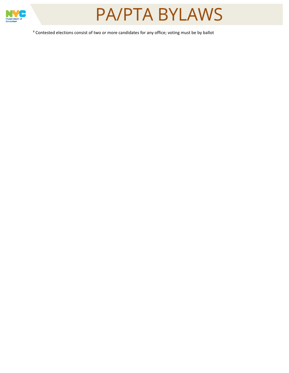



<sup>8</sup> Contested elections consist of two or more candidates for any office; voting must be by ballot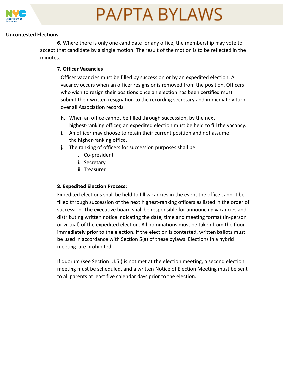

#### **Uncontested Elections**

**6.** Where there is only one candidate for any office, the membership may vote to accept that candidate by a single motion. The result of the motion is to be reflected in the minutes.

#### **7. Officer Vacancies**

Officer vacancies must be filled by succession or by an expedited election. A vacancy occurs when an officer resigns or is removed from the position. Officers who wish to resign their positions once an election has been certified must submit their written resignation to the recording secretary and immediately turn over all Association records.

- **h.** When an office cannot be filled through succession, by the next highest-ranking officer, an expedited election must be held to fill the vacancy.
- **i.** An officer may choose to retain their current position and not assume the higher-ranking office.
- **j.** The ranking of officers for succession purposes shall be:
	- i. Co-president
	- ii. Secretary
	- iii. Treasurer

#### **8. Expedited Election Process:**

Expedited elections shall be held to fill vacancies in the event the office cannot be filled through succession of the next highest-ranking officers as listed in the order of succession. The executive board shall be responsible for announcing vacancies and distributing written notice indicating the date, time and meeting format (in-person or virtual) of the expedited election. All nominations must be taken from the floor, immediately prior to the election. If the election is contested, written ballots must be used in accordance with Section 5(a) of these bylaws. Elections in a hybrid meeting are prohibited.

If quorum (see Section I.J.5.) is not met at the election meeting, a second election meeting must be scheduled, and a written Notice of Election Meeting must be sent to all parents at least five calendar days prior to the election.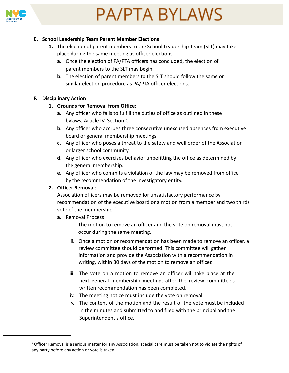#### **E. School Leadership Team Parent Member Elections**

- **1.** The election of parent members to the School Leadership Team (SLT) may take place during the same meeting as officer elections.
	- **a.** Once the election of PA/PTA officers has concluded, the election of parent members to the SLT may begin.
	- **b.** The election of parent members to the SLT should follow the same or similar election procedure as PA/PTA officer elections.

#### **F. Disciplinary Action**

#### **1. Grounds for Removal from Office**:

- **a.** Any officer who fails to fulfill the duties of office as outlined in these bylaws, Article IV, Section C.
- **b.** Any officer who accrues three consecutive unexcused absences from executive board or general membership meetings.
- **c.** Any officer who poses a threat to the safety and well order of the Association or larger school community.
- **d.** Any officer who exercises behavior unbefitting the office as determined by the general membership.
- **e.** Any officer who commits a violation of the law may be removed from office by the recommendation of the investigatory entity.

#### **2. Officer Removal**:

Association officers may be removed for unsatisfactory performance by recommendation of the executive board or a motion from a member and two thirds vote of the membership.<sup>9</sup>

- **a.** Removal Process
	- i. The motion to remove an officer and the vote on removal must not occur during the same meeting.
	- ii. Once a motion or recommendation has been made to remove an officer, a review committee should be formed. This committee will gather information and provide the Association with a recommendation in writing, within 30 days of the motion to remove an officer.
	- iii. The vote on a motion to remove an officer will take place at the next general membership meeting, after the review committee's written recommendation has been completed.
	- iv. The meeting notice must include the vote on removal.
	- v. The content of the motion and the result of the vote must be included in the minutes and submitted to and filed with the principal and the Superintendent's office.

<sup>&</sup>lt;sup>9</sup> Officer Removal is a serious matter for any Association, special care must be taken not to violate the rights of any party before any action or vote is taken.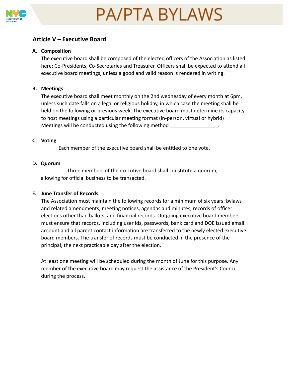

### **Article V – Executive Board**

#### **A. Composition**

The executive board shall be composed of the elected officers of the Association as listed here: Co-Presidents, Co-Secretaries and Treasurer. Officers shall be expected to attend all executive board meetings, unless a good and valid reason is rendered in writing.

#### **B. Meetings**

The executive board shall meet monthly on the 2nd wednesday of every month at 6pm, unless such date falls on a legal or religious holiday, in which case the meeting shall be held on the following or previous week. The executive board must determine its capacity to host meetings using a particular meeting format (in-person, virtual or hybrid) Meetings will be conducted using the following method

#### **C. Voting**

Each member of the executive board shall be entitled to one vote.

#### **D. Quorum**

Three members of the executive board shall constitute a quorum, allowing for official business to be transacted.

#### **E. June Transfer of Records**

The Association must maintain the following records for a minimum of six years: bylaws and related amendments; meeting notices, agendas and minutes, records of officer elections other than ballots, and financial records. Outgoing executive board members must ensure that records, including user ids, passwords, bank card and DOE issued email account and all parent contact information are transferred to the newly elected executive board members. The transfer of records must be conducted in the presence of the principal, the next practicable day after the election.

At least one meeting will be scheduled during the month of June for this purpose. Any member of the executive board may request the assistance of the President's Council during the process.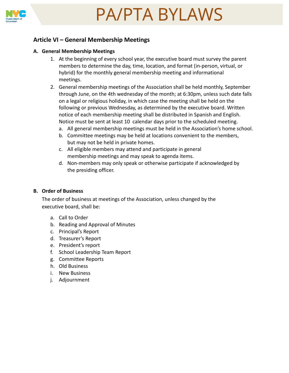

### **Article VI – General Membership Meetings**

#### **A. General Membership Meetings**

- 1. At the beginning of every school year, the executive board must survey the parent members to determine the day, time, location, and format (in-person, virtual, or hybrid) for the monthly general membership meeting and informational meetings.
- 2. General membership meetings of the Association shall be held monthly, September through June, on the 4th wednesday of the month; at 6:30pm, unless such date falls on a legal or religious holiday, in which case the meeting shall be held on the following or previous Wednesday, as determined by the executive board. Written notice of each membership meeting shall be distributed in Spanish and English. Notice must be sent at least 10 calendar days prior to the scheduled meeting.
	- a. All general membership meetings must be held in the Association's home school.
	- b. Committee meetings may be held at locations convenient to the members, but may not be held in private homes.
	- c. All eligible members may attend and participate in general membership meetings and may speak to agenda items.
	- d. Non-members may only speak or otherwise participate if acknowledged by the presiding officer.

#### **B. Order of Business**

The order of business at meetings of the Association, unless changed by the executive board, shall be:

- a. Call to Order
- b. Reading and Approval of Minutes
- c. Principal's Report
- d. Treasurer's Report
- e. President's report
- f. School Leadership Team Report
- g. Committee Reports
- h. Old Business
- i. New Business
- j. Adjournment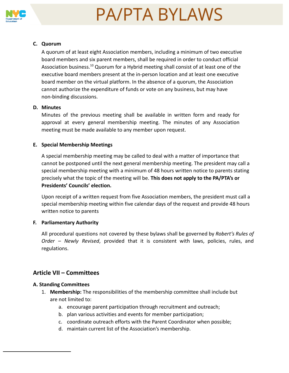

#### **C. Quorum**

A quorum of at least eight Association members, including a minimum of two executive board members and six parent members, shall be required in order to conduct official Association business.<sup>10</sup> Quorum for a Hybrid meeting shall consist of at least one of the executive board members present at the in-person location and at least one executive board member on the virtual platform. In the absence of a quorum, the Association cannot authorize the expenditure of funds or vote on any business, but may have non-binding discussions.

#### **D. Minutes**

Minutes of the previous meeting shall be available in written form and ready for approval at every general membership meeting. The minutes of any Association meeting must be made available to any member upon request.

#### **E. Special Membership Meetings**

A special membership meeting may be called to deal with a matter of importance that cannot be postponed until the next general membership meeting. The president may call a special membership meeting with a minimum of 48 hours written notice to parents stating precisely what the topic of the meeting will be. **This does not apply to the PA/PTA's or Presidents' Councils' election.**

Upon receipt of a written request from five Association members, the president must call a special membership meeting within five calendar days of the request and provide 48 hours written notice to parents

#### **F. Parliamentary Authority**

All procedural questions not covered by these bylaws shall be governed by *Robert's Rules of Order – Newly Revised*, provided that it is consistent with laws, policies, rules, and regulations.

### **Article VII – Committees**

#### **A. Standing Committees**

- 1. **Membership:** The responsibilities of the membership committee shall include but are not limited to:
	- a. encourage parent participation through recruitment and outreach;
	- b. plan various activities and events for member participation;
	- c. coordinate outreach efforts with the Parent Coordinator when possible;
	- d. maintain current list of the Association's membership.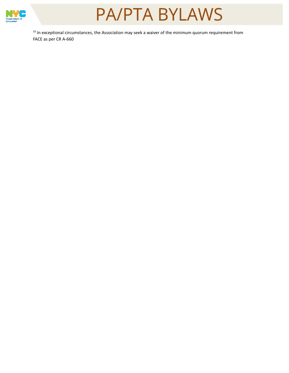

<sup>10</sup> In exceptional circumstances, the Association may seek a waiver of the minimum quorum requirement from FACE as per CR A-660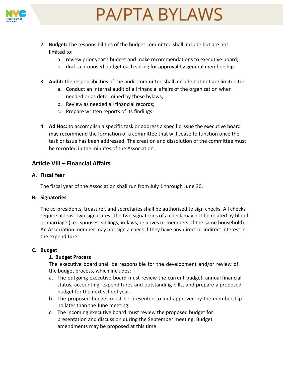

- 2. **Budget:** The responsibilities of the budget committee shall include but are not limited to:
	- a. review prior year's budget and make recommendations to executive board;
	- b. draft a proposed budget each spring for approval by general membership.
- 3. **Audit:** the responsibilities of the audit committee shall include but not are limited to:
	- a. Conduct an internal audit of all financial affairs of the organization when needed or as determined by these bylaws;
	- b. Review as needed all financial records;
	- c. Prepare written reports of its findings.
- 4. **Ad Hoc:** to accomplish a specific task or address a specific issue the executive board may recommend the formation of a committee that will cease to function once the task or issue has been addressed. The creation and dissolution of the committee must be recorded in the minutes of the Association.

### **Article VIII – Financial Affairs**

#### **A. Fiscal Year**

The fiscal year of the Association shall run from July 1 through June 30.

#### **B. Signatories**

The co-presidents, treasurer, and secretaries shall be authorized to sign checks. All checks require at least two signatures. The two signatories of a check may not be related by blood or marriage (i.e., spouses, siblings, in-laws, relatives or members of the same household). An Association member may not sign a check if they have any direct or indirect interest in the expenditure.

#### **C. Budget**

### **1. Budget Process**

The executive board shall be responsible for the development and/or review of the budget process, which includes:

- a. The outgoing executive board must review the current budget, annual financial status, accounting, expenditures and outstanding bills, and prepare a proposed budget for the next school year.
- b. The proposed budget must be presented to and approved by the membership no later than the June meeting.
- c. The incoming executive board must review the proposed budget for presentation and discussion during the September meeting. Budget amendments may be proposed at this time.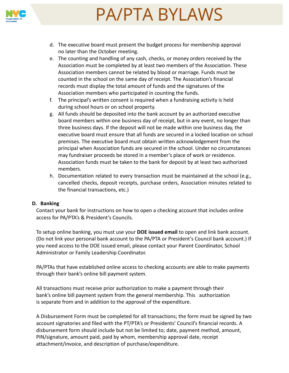



- e. The counting and handling of any cash, checks, or money orders received by the Association must be completed by at least two members of the Association. These Association members cannot be related by blood or marriage. Funds must be counted in the school on the same day of receipt. The Association's financial records must display the total amount of funds and the signatures of the Association members who participated in counting the funds.
- f. The principal's written consent is required when a fundraising activity is held during school hours or on school property.
- g. All funds should be deposited into the bank account by an authorized executive board members within one business day of receipt, but in any event, no longer than three business days. If the deposit will not be made within one business day, the executive board must ensure that all funds are secured in a locked location on school premises. The executive board must obtain written acknowledgement from the principal when Association funds are secured in the school. Under no circumstances may fundraiser proceeds be stored in a member's place of work or residence. Association funds must be taken to the bank for deposit by at least two authorized members.
- h. Documentation related to every transaction must be maintained at the school (e.g., cancelled checks, deposit receipts, purchase orders, Association minutes related to the financial transactions, etc.)

#### **D. Banking**

Contact your bank for instructions on how to open a checking account that includes online access for PA/PTA's & President's Councils.

To setup online banking, you must use your **DOE issued email** to open and link bank account. (Do not link your personal bank account to the PA/PTA or President's Council bank account.) If you need access to the DOE issued email, please contact your Parent Coordinator, School Administrator or Family Leadership Coordinator.

PA/PTAs that have established online access to checking accounts are able to make payments through their bank's online bill payment system.

All transactions must receive prior authorization to make a payment through their bank's online bill payment system from the general membership. This authorization is separate from and in addition to the approval of the expenditure.

A Disbursement Form must be completed for all transactions; the form must be signed by two account signatories and filed with the PT/PTA's or Presidents' Council's financial records. A disbursement form should include but not be limited to; date, payment method, amount, PIN/signature, amount paid, paid by whom, membership approval date, receipt attachment/invoice, and description of purchase/expenditure.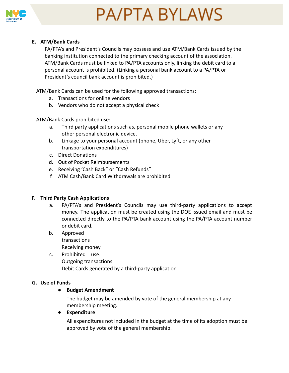

#### **E. ATM/Bank Cards**

PA/PTA's and President's Councils may possess and use ATM/Bank Cards issued by the banking institution connected to the primary checking account of the association. ATM/Bank Cards must be linked to PA/PTA accounts only, linking the debit card to a personal account is prohibited. (Linking a personal bank account to a PA/PTA or President's council bank account is prohibited.)

ATM/Bank Cards can be used for the following approved transactions:

- a. Transactions for online vendors
- b. Vendors who do not accept a physical check

#### ATM/Bank Cards prohibited use:

- a. Third party applications such as, personal mobile phone wallets or any other personal electronic device.
- b. Linkage to your personal account (phone, Uber, Lyft, or any other transportation expenditures)
- c. Direct Donations
- d. Out of Pocket Reimbursements
- e. Receiving 'Cash Back" or "Cash Refunds"
- f. ATM Cash/Bank Card Withdrawals are prohibited

#### **F. Third Party Cash Applications**

- a. PA/PTA's and President's Councils may use third-party applications to accept money. The application must be created using the DOE issued email and must be connected directly to the PA/PTA bank account using the PA/PTA account number or debit card.
- b. Approved transactions Receiving money
- c. Prohibited use: Outgoing transactions Debit Cards generated by a third-party application

#### **G. Use of Funds**

#### ● **Budget Amendment**

The budget may be amended by vote of the general membership at any membership meeting.

#### ● **Expenditure**

All expenditures not included in the budget at the time of its adoption must be approved by vote of the general membership.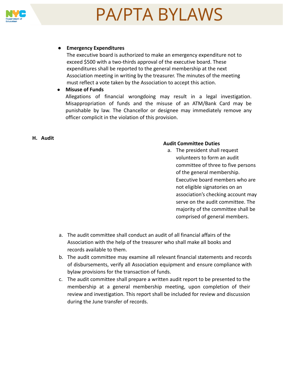

#### ● **Emergency Expenditures**

The executive board is authorized to make an emergency expenditure not to exceed \$500 with a two-thirds approval of the executive board. These expenditures shall be reported to the general membership at the next Association meeting in writing by the treasurer. The minutes of the meeting must reflect a vote taken by the Association to accept this action.

#### ● **Misuse of Funds**

Allegations of financial wrongdoing may result in a legal investigation. Misappropriation of funds and the misuse of an ATM/Bank Card may be punishable by law. The Chancellor or designee may immediately remove any officer complicit in the violation of this provision.

#### **H. Audit**

#### **Audit Committee Duties**

- a. The president shall request volunteers to form an audit committee of three to five persons of the general membership. Executive board members who are not eligible signatories on an association's checking account may serve on the audit committee. The majority of the committee shall be comprised of general members.
- a. The audit committee shall conduct an audit of all financial affairs of the Association with the help of the treasurer who shall make all books and records available to them.
- b. The audit committee may examine all relevant financial statements and records of disbursements, verify all Association equipment and ensure compliance with bylaw provisions for the transaction of funds.
- c. The audit committee shall prepare a written audit report to be presented to the membership at a general membership meeting, upon completion of their review and investigation. This report shall be included for review and discussion during the June transfer of records.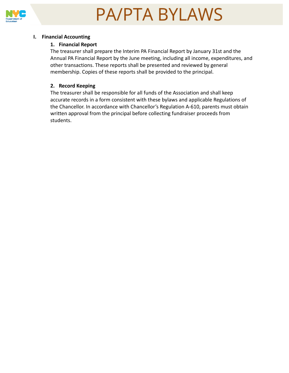

#### **I. Financial Accounting**

#### **1. Financial Report**

The treasurer shall prepare the Interim PA Financial Report by January 31st and the Annual PA Financial Report by the June meeting, including all income, expenditures, and other transactions. These reports shall be presented and reviewed by general membership. Copies of these reports shall be provided to the principal.

#### **2. Record Keeping**

The treasurer shall be responsible for all funds of the Association and shall keep accurate records in a form consistent with these bylaws and applicable Regulations of the Chancellor. In accordance with Chancellor's Regulation A-610, parents must obtain written approval from the principal before collecting fundraiser proceeds from students.